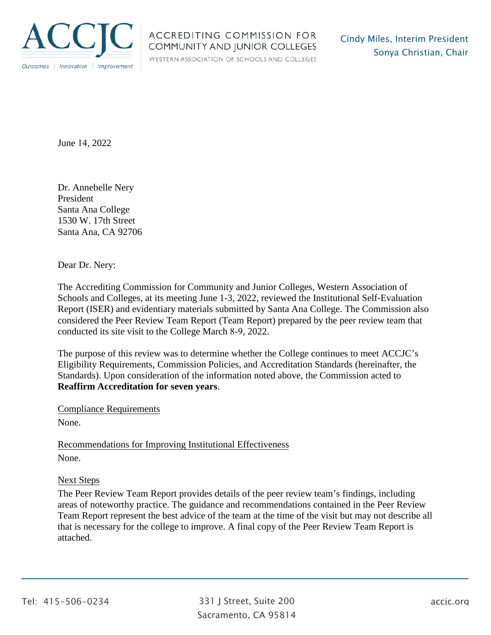

## ACCREDITING COMMISSION FOR COMMUNITY AND JUNIOR COLLEGES

WESTERN ASSOCIATION OF SCHOOLS AND COLLEGES

June 14, 2022

Dr. Annebelle Nery President Santa Ana College 1530 W. 17th Street Santa Ana, CA 92706

Dear Dr. Nery:

The Accrediting Commission for Community and Junior Colleges, Western Association of Schools and Colleges, at its meeting June 1-3, 2022, reviewed the Institutional Self-Evaluation Report (ISER) and evidentiary materials submitted by Santa Ana College. The Commission also considered the Peer Review Team Report (Team Report) prepared by the peer review team that conducted its site visit to the College March 8-9, 2022.

The purpose of this review was to determine whether the College continues to meet ACCJC's Eligibility Requirements, Commission Policies, and Accreditation Standards (hereinafter, the Standards). Upon consideration of the information noted above, the Commission acted to **Reaffirm Accreditation for seven years**.

Compliance Requirements

None.

Recommendations for Improving Institutional Effectiveness None.

## Next Steps

The Peer Review Team Report provides details of the peer review team's findings, including areas of noteworthy practice. The guidance and recommendations contained in the Peer Review Team Report represent the best advice of the team at the time of the visit but may not describe all that is necessary for the college to improve. A final copy of the Peer Review Team Report is attached.